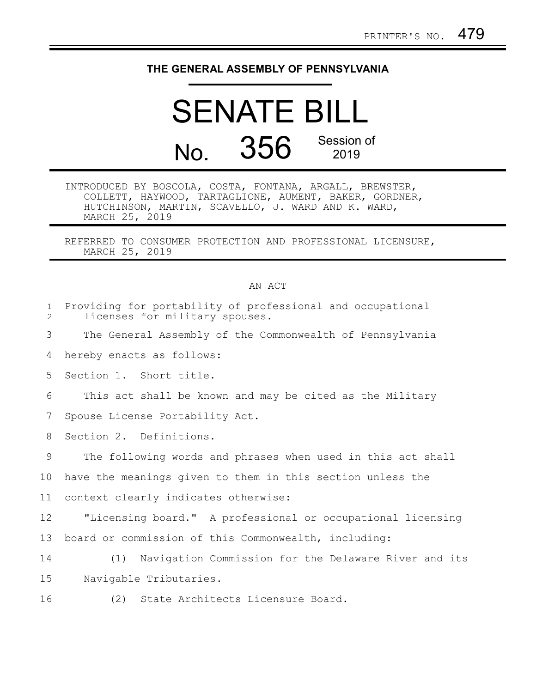## **THE GENERAL ASSEMBLY OF PENNSYLVANIA**

## SENATE BILL No. 356 Session of 2019

INTRODUCED BY BOSCOLA, COSTA, FONTANA, ARGALL, BREWSTER, COLLETT, HAYWOOD, TARTAGLIONE, AUMENT, BAKER, GORDNER, HUTCHINSON, MARTIN, SCAVELLO, J. WARD AND K. WARD, MARCH 25, 2019

REFERRED TO CONSUMER PROTECTION AND PROFESSIONAL LICENSURE, MARCH 25, 2019

## AN ACT

| $\mathbf{1}$<br>2 | Providing for portability of professional and occupational<br>licenses for military spouses. |
|-------------------|----------------------------------------------------------------------------------------------|
| 3                 | The General Assembly of the Commonwealth of Pennsylvania                                     |
| 4                 | hereby enacts as follows:                                                                    |
| 5                 | Section 1. Short title.                                                                      |
| 6                 | This act shall be known and may be cited as the Military                                     |
| 7                 | Spouse License Portability Act.                                                              |
| 8                 | Section 2. Definitions.                                                                      |
| 9                 | The following words and phrases when used in this act shall                                  |
| 10                | have the meanings given to them in this section unless the                                   |
| 11                | context clearly indicates otherwise:                                                         |
| 12                | "Licensing board." A professional or occupational licensing                                  |
| 13                | board or commission of this Commonwealth, including:                                         |
| 14                | Navigation Commission for the Delaware River and its<br>(1)                                  |
| 15                | Navigable Tributaries.                                                                       |
| 16                | (2) State Architects Licensure Board.                                                        |
|                   |                                                                                              |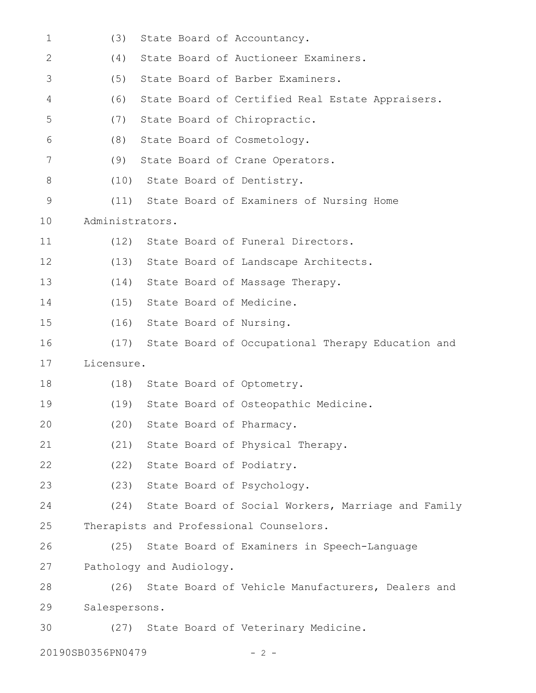| $\mathbf 1$                | (3)             | State Board of Accountancy.                             |  |
|----------------------------|-----------------|---------------------------------------------------------|--|
| $\mathbf{2}$               | (4)             | State Board of Auctioneer Examiners.                    |  |
| 3                          | (5)             | State Board of Barber Examiners.                        |  |
| 4                          | (6)             | State Board of Certified Real Estate Appraisers.        |  |
| 5                          | (7)             | State Board of Chiropractic.                            |  |
| 6                          | (8)             | State Board of Cosmetology.                             |  |
| 7                          | (9)             | State Board of Crane Operators.                         |  |
| 8                          | (10)            | State Board of Dentistry.                               |  |
| $\mathsf 9$                |                 | (11) State Board of Examiners of Nursing Home           |  |
| 10                         | Administrators. |                                                         |  |
| 11                         | (12)            | State Board of Funeral Directors.                       |  |
| 12                         | (13)            | State Board of Landscape Architects.                    |  |
| 13                         | (14)            | State Board of Massage Therapy.                         |  |
| 14                         | (15)            | State Board of Medicine.                                |  |
| 15                         | (16)            | State Board of Nursing.                                 |  |
| 16                         | (17)            | State Board of Occupational Therapy Education and       |  |
| 17                         | Licensure.      |                                                         |  |
| 18                         |                 | (18) State Board of Optometry.                          |  |
| 19                         | (19)            | State Board of Osteopathic Medicine.                    |  |
| 20                         |                 | (20) State Board of Pharmacy.                           |  |
| 21                         |                 | (21) State Board of Physical Therapy.                   |  |
| 22                         |                 | (22) State Board of Podiatry.                           |  |
| 23                         |                 | (23) State Board of Psychology.                         |  |
| 24                         |                 | (24) State Board of Social Workers, Marriage and Family |  |
| 25                         |                 | Therapists and Professional Counselors.                 |  |
| 26                         | (25)            | State Board of Examiners in Speech-Language             |  |
| 27                         |                 | Pathology and Audiology.                                |  |
| 28                         |                 | (26) State Board of Vehicle Manufacturers, Dealers and  |  |
| 29                         | Salespersons.   |                                                         |  |
| 30                         |                 | (27) State Board of Veterinary Medicine.                |  |
| 20190SB0356PN0479<br>- 2 - |                 |                                                         |  |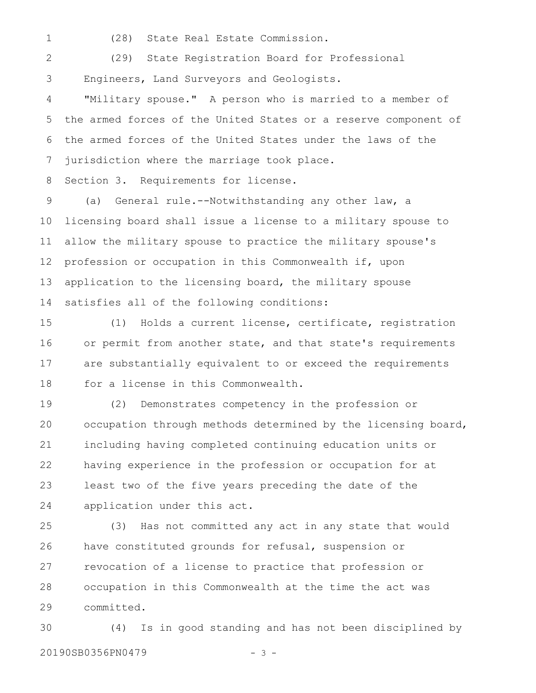1

(28) State Real Estate Commission.

(29) State Registration Board for Professional Engineers, Land Surveyors and Geologists. 2 3

"Military spouse." A person who is married to a member of the armed forces of the United States or a reserve component of the armed forces of the United States under the laws of the jurisdiction where the marriage took place. 4 5 6 7

Section 3. Requirements for license. 8

(a) General rule.--Notwithstanding any other law, a licensing board shall issue a license to a military spouse to allow the military spouse to practice the military spouse's profession or occupation in this Commonwealth if, upon application to the licensing board, the military spouse satisfies all of the following conditions: 9 10 11 12 13 14

(1) Holds a current license, certificate, registration or permit from another state, and that state's requirements are substantially equivalent to or exceed the requirements for a license in this Commonwealth. 15 16 17 18

(2) Demonstrates competency in the profession or occupation through methods determined by the licensing board, including having completed continuing education units or having experience in the profession or occupation for at least two of the five years preceding the date of the application under this act. 19 20 21 22 23 24

(3) Has not committed any act in any state that would have constituted grounds for refusal, suspension or revocation of a license to practice that profession or occupation in this Commonwealth at the time the act was committed. 25 26 27 28 29

(4) Is in good standing and has not been disciplined by 20190SB0356PN0479 - 3 -30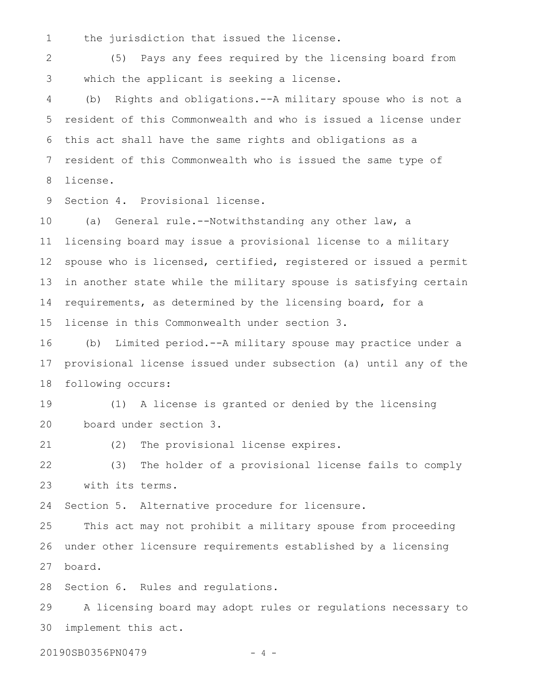the jurisdiction that issued the license. 1

(5) Pays any fees required by the licensing board from which the applicant is seeking a license. 2 3

(b) Rights and obligations.--A military spouse who is not a resident of this Commonwealth and who is issued a license under this act shall have the same rights and obligations as a resident of this Commonwealth who is issued the same type of license. 4 5 6 7 8

Section 4. Provisional license. 9

(a) General rule.--Notwithstanding any other law, a licensing board may issue a provisional license to a military spouse who is licensed, certified, registered or issued a permit in another state while the military spouse is satisfying certain requirements, as determined by the licensing board, for a license in this Commonwealth under section 3. 10 11 12 13 14 15

(b) Limited period.--A military spouse may practice under a provisional license issued under subsection (a) until any of the following occurs: 16 17 18

(1) A license is granted or denied by the licensing board under section 3. 19 20

(2) The provisional license expires. 21

(3) The holder of a provisional license fails to comply with its terms. 22 23

Section 5. Alternative procedure for licensure. 24

This act may not prohibit a military spouse from proceeding under other licensure requirements established by a licensing board. 25 26 27

Section 6. Rules and regulations. 28

A licensing board may adopt rules or regulations necessary to implement this act. 29 30

20190SB0356PN0479 - 4 -